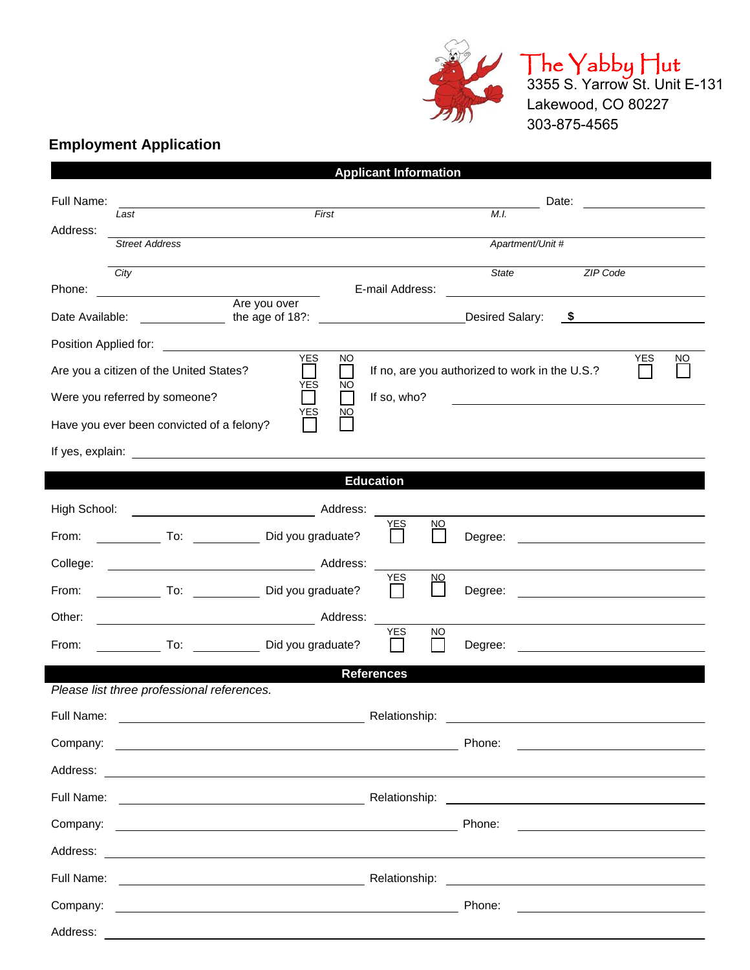

 $\parallel$  he  $\parallel$ abby  $\parallel$ ut 3355 S. Yarrow St. Unit E-131 Lakewood, CO 80227 303-875-4565

## **Employment Application**

|                                                                                                |                                                                                                                                     |                                                                                                                       |                 | <b>Applicant Information</b>                   |                 |                  |       |                                                                                           |            |           |  |
|------------------------------------------------------------------------------------------------|-------------------------------------------------------------------------------------------------------------------------------------|-----------------------------------------------------------------------------------------------------------------------|-----------------|------------------------------------------------|-----------------|------------------|-------|-------------------------------------------------------------------------------------------|------------|-----------|--|
| Full Name:                                                                                     |                                                                                                                                     |                                                                                                                       |                 |                                                |                 |                  | Date: |                                                                                           |            |           |  |
| Address:                                                                                       | Last                                                                                                                                | First                                                                                                                 |                 |                                                | M.I.            |                  |       |                                                                                           |            |           |  |
|                                                                                                | <b>Street Address</b>                                                                                                               |                                                                                                                       |                 |                                                |                 | Apartment/Unit # |       |                                                                                           |            |           |  |
|                                                                                                | City                                                                                                                                |                                                                                                                       |                 |                                                |                 | <b>State</b>     |       | <b>ZIP Code</b>                                                                           |            |           |  |
| E-mail Address:<br>Phone:<br><u> 1980 - Johann Barbara, martxa alemaniar a</u><br>Are you over |                                                                                                                                     |                                                                                                                       |                 |                                                |                 |                  |       |                                                                                           |            |           |  |
| Date Available:                                                                                |                                                                                                                                     |                                                                                                                       |                 |                                                | Desired Salary: |                  |       |                                                                                           |            |           |  |
| <b>YES</b>                                                                                     |                                                                                                                                     |                                                                                                                       |                 |                                                |                 |                  |       |                                                                                           |            |           |  |
| Are you a citizen of the United States?<br><b>YES</b>                                          |                                                                                                                                     |                                                                                                                       | <b>NO</b><br>NO | If no, are you authorized to work in the U.S.? |                 |                  |       |                                                                                           | <b>YES</b> | <b>NO</b> |  |
|                                                                                                | Were you referred by someone?<br>$\blacksquare$<br>If so, who?<br>YES<br><u>NO</u>                                                  |                                                                                                                       |                 |                                                |                 |                  |       |                                                                                           |            |           |  |
| Have you ever been convicted of a felony?                                                      |                                                                                                                                     |                                                                                                                       |                 |                                                |                 |                  |       |                                                                                           |            |           |  |
|                                                                                                |                                                                                                                                     |                                                                                                                       |                 |                                                |                 |                  |       |                                                                                           |            |           |  |
|                                                                                                |                                                                                                                                     |                                                                                                                       |                 | <b>Education</b>                               |                 |                  |       |                                                                                           |            |           |  |
| High School:                                                                                   |                                                                                                                                     |                                                                                                                       |                 |                                                |                 |                  |       |                                                                                           |            |           |  |
| From:                                                                                          |                                                                                                                                     | Did you graduate?                                                                                                     |                 | YES                                            | $\overline{NO}$ | Degree:          |       | and the state of the company of the state of the state of the                             |            |           |  |
| College:                                                                                       |                                                                                                                                     |                                                                                                                       |                 | YES                                            |                 |                  |       |                                                                                           |            |           |  |
| From:                                                                                          |                                                                                                                                     | To: Did you graduate?                                                                                                 |                 |                                                | NQ              | Degree:          |       | the control of the control of the control of the control of the control of the control of |            |           |  |
| Other:                                                                                         | <u> 1989 - Johann Barn, fransk politik (d. 1989)</u>                                                                                |                                                                                                                       | Address:        |                                                |                 |                  |       |                                                                                           |            |           |  |
| From:                                                                                          |                                                                                                                                     | To: Did you graduate?                                                                                                 |                 | <b>YES</b><br>$\sim$                           | <b>NO</b>       | Degree:          |       |                                                                                           |            |           |  |
| <b>References</b><br>Please list three professional references.                                |                                                                                                                                     |                                                                                                                       |                 |                                                |                 |                  |       |                                                                                           |            |           |  |
| Full Name:                                                                                     |                                                                                                                                     |                                                                                                                       |                 |                                                |                 |                  |       |                                                                                           |            |           |  |
|                                                                                                |                                                                                                                                     |                                                                                                                       |                 | Relationship:                                  |                 |                  |       |                                                                                           |            |           |  |
| Company:                                                                                       |                                                                                                                                     | <u> 1989 - Johann Harry Harry Harry Harry Harry Harry Harry Harry Harry Harry Harry Harry Harry Harry Harry Harry</u> |                 |                                                |                 | Phone:           |       | <u> 1989 - Johann Barn, mars ann an t-Amhain an t-Amhain an t-Amhain an t-A</u>           |            |           |  |
|                                                                                                |                                                                                                                                     |                                                                                                                       |                 |                                                |                 |                  |       |                                                                                           |            |           |  |
|                                                                                                |                                                                                                                                     |                                                                                                                       |                 |                                                |                 |                  |       |                                                                                           |            |           |  |
|                                                                                                |                                                                                                                                     |                                                                                                                       |                 |                                                |                 | Phone:           |       |                                                                                           |            |           |  |
|                                                                                                |                                                                                                                                     |                                                                                                                       |                 |                                                |                 |                  |       |                                                                                           |            |           |  |
|                                                                                                | Full Name:<br><u> 1989 - Johann Harry Harry Harry Harry Harry Harry Harry Harry Harry Harry Harry Harry Harry Harry Harry Harry</u> |                                                                                                                       |                 |                                                |                 |                  |       |                                                                                           |            |           |  |
|                                                                                                |                                                                                                                                     |                                                                                                                       |                 |                                                |                 | Phone:           |       | <u> 1999 - Johann Barn, fransk politik (d. 1989)</u>                                      |            |           |  |
| Address:                                                                                       |                                                                                                                                     | <u> 1989 - Johann Barn, amerikan besteman besteman besteman besteman besteman besteman besteman besteman bestema</u>  |                 |                                                |                 |                  |       |                                                                                           |            |           |  |